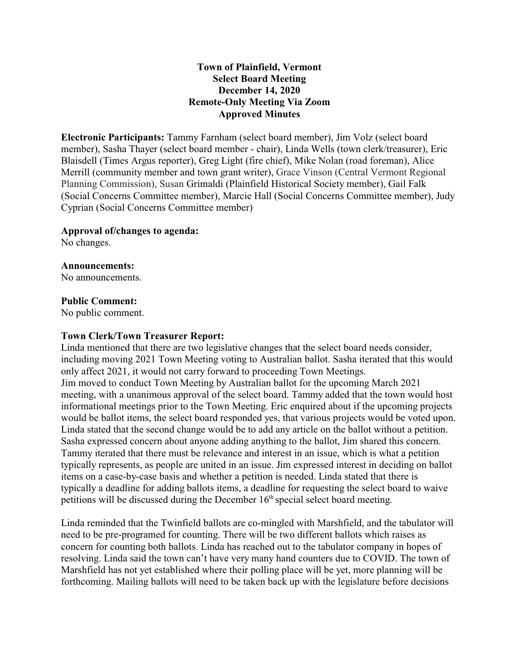## **Town of Plainfield, Vermont Select Board Meeting December 14, 2020 Remote-Only Meeting Via Zoom Approved Minutes**

**Electronic Participants:** Tammy Farnham (select board member), Jim Volz (select board member), Sasha Thayer (select board member - chair), Linda Wells (town clerk/treasurer), Eric Blaisdell (Times Argus reporter), Greg Light (fire chief), Mike Nolan (road foreman), Alice Merrill (community member and town grant writer), Grace Vinson (Central Vermont Regional Planning Commission), Susan Grimaldi (Plainfield Historical Society member), Gail Falk (Social Concerns Committee member), Marcie Hall (Social Concerns Committee member), Judy Cyprian (Social Concerns Committee member)

#### **Approval of/changes to agenda:**

No changes.

## **Announcements:**

No announcements.

#### **Public Comment:**

No public comment.

### **Town Clerk/Town Treasurer Report:**

Linda mentioned that there are two legislative changes that the select board needs consider, including moving 2021 Town Meeting voting to Australian ballot. Sasha iterated that this would only affect 2021, it would not carry forward to proceeding Town Meetings. Jim moved to conduct Town Meeting by Australian ballot for the upcoming March 2021 meeting, with a unanimous approval of the select board. Tammy added that the town would host informational meetings prior to the Town Meeting. Eric enquired about if the upcoming projects would be ballot items, the select board responded yes, that various projects would be voted upon. Linda stated that the second change would be to add any article on the ballot without a petition. Sasha expressed concern about anyone adding anything to the ballot, Jim shared this concern. Tammy iterated that there must be relevance and interest in an issue, which is what a petition typically represents, as people are united in an issue. Jim expressed interest in deciding on ballot items on a case-by-case basis and whether a petition is needed. Linda stated that there is typically a deadline for adding ballots items, a deadline for requesting the select board to waive petitions will be discussed during the December 16<sup>th</sup> special select board meeting.

Linda reminded that the Twinfield ballots are co-mingled with Marshfield, and the tabulator will need to be pre-programed for counting. There will be two different ballots which raises as concern for counting both ballots. Linda has reached out to the tabulator company in hopes of resolving. Linda said the town can't have very many hand counters due to COVID. The town of Marshfield has not yet established where their polling place will be yet, more planning will be forthcoming. Mailing ballots will need to be taken back up with the legislature before decisions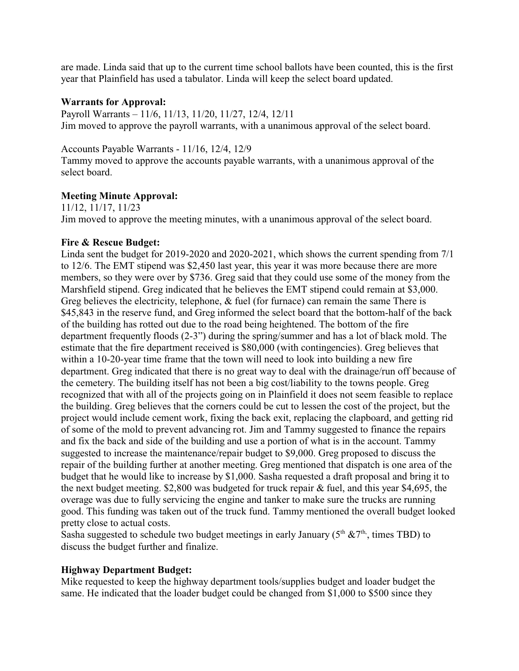are made. Linda said that up to the current time school ballots have been counted, this is the first year that Plainfield has used a tabulator. Linda will keep the select board updated.

## **Warrants for Approval:**

Payroll Warrants – 11/6, 11/13, 11/20, 11/27, 12/4, 12/11 Jim moved to approve the payroll warrants, with a unanimous approval of the select board.

Accounts Payable Warrants - 11/16, 12/4, 12/9

Tammy moved to approve the accounts payable warrants, with a unanimous approval of the select board.

# **Meeting Minute Approval:**

11/12, 11/17, 11/23 Jim moved to approve the meeting minutes, with a unanimous approval of the select board.

## **Fire & Rescue Budget:**

Linda sent the budget for 2019-2020 and 2020-2021, which shows the current spending from 7/1 to 12/6. The EMT stipend was \$2,450 last year, this year it was more because there are more members, so they were over by \$736. Greg said that they could use some of the money from the Marshfield stipend. Greg indicated that he believes the EMT stipend could remain at \$3,000. Greg believes the electricity, telephone, & fuel (for furnace) can remain the same There is \$45,843 in the reserve fund, and Greg informed the select board that the bottom-half of the back of the building has rotted out due to the road being heightened. The bottom of the fire department frequently floods (2-3") during the spring/summer and has a lot of black mold. The estimate that the fire department received is \$80,000 (with contingencies). Greg believes that within a 10-20-year time frame that the town will need to look into building a new fire department. Greg indicated that there is no great way to deal with the drainage/run off because of the cemetery. The building itself has not been a big cost/liability to the towns people. Greg recognized that with all of the projects going on in Plainfield it does not seem feasible to replace the building. Greg believes that the corners could be cut to lessen the cost of the project, but the project would include cement work, fixing the back exit, replacing the clapboard, and getting rid of some of the mold to prevent advancing rot. Jim and Tammy suggested to finance the repairs and fix the back and side of the building and use a portion of what is in the account. Tammy suggested to increase the maintenance/repair budget to \$9,000. Greg proposed to discuss the repair of the building further at another meeting. Greg mentioned that dispatch is one area of the budget that he would like to increase by \$1,000. Sasha requested a draft proposal and bring it to the next budget meeting. \$2,800 was budgeted for truck repair & fuel, and this year \$4,695, the overage was due to fully servicing the engine and tanker to make sure the trucks are running good. This funding was taken out of the truck fund. Tammy mentioned the overall budget looked pretty close to actual costs.

Sasha suggested to schedule two budget meetings in early January ( $5<sup>th</sup>$  & $7<sup>th</sup>$ , times TBD) to discuss the budget further and finalize.

# **Highway Department Budget:**

Mike requested to keep the highway department tools/supplies budget and loader budget the same. He indicated that the loader budget could be changed from \$1,000 to \$500 since they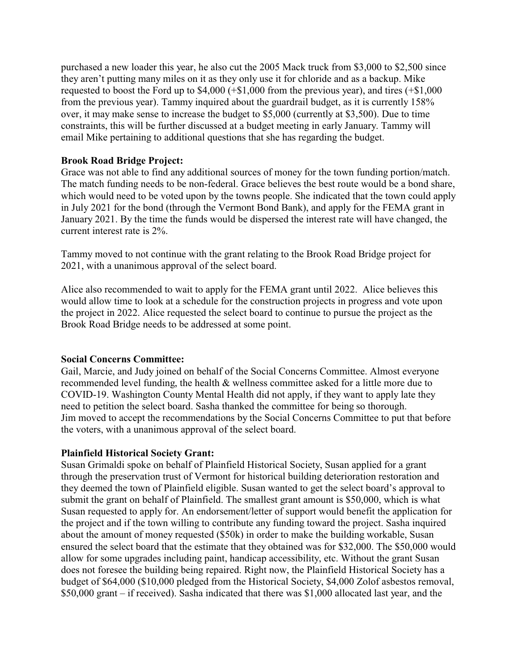purchased a new loader this year, he also cut the 2005 Mack truck from \$3,000 to \$2,500 since they aren't putting many miles on it as they only use it for chloride and as a backup. Mike requested to boost the Ford up to \$4,000 (+\$1,000 from the previous year), and tires (+\$1,000 from the previous year). Tammy inquired about the guardrail budget, as it is currently 158% over, it may make sense to increase the budget to \$5,000 (currently at \$3,500). Due to time constraints, this will be further discussed at a budget meeting in early January. Tammy will email Mike pertaining to additional questions that she has regarding the budget.

#### **Brook Road Bridge Project:**

Grace was not able to find any additional sources of money for the town funding portion/match. The match funding needs to be non-federal. Grace believes the best route would be a bond share, which would need to be voted upon by the towns people. She indicated that the town could apply in July 2021 for the bond (through the Vermont Bond Bank), and apply for the FEMA grant in January 2021. By the time the funds would be dispersed the interest rate will have changed, the current interest rate is 2%.

Tammy moved to not continue with the grant relating to the Brook Road Bridge project for 2021, with a unanimous approval of the select board.

Alice also recommended to wait to apply for the FEMA grant until 2022. Alice believes this would allow time to look at a schedule for the construction projects in progress and vote upon the project in 2022. Alice requested the select board to continue to pursue the project as the Brook Road Bridge needs to be addressed at some point.

#### **Social Concerns Committee:**

Gail, Marcie, and Judy joined on behalf of the Social Concerns Committee. Almost everyone recommended level funding, the health & wellness committee asked for a little more due to COVID-19. Washington County Mental Health did not apply, if they want to apply late they need to petition the select board. Sasha thanked the committee for being so thorough. Jim moved to accept the recommendations by the Social Concerns Committee to put that before the voters, with a unanimous approval of the select board.

### **Plainfield Historical Society Grant:**

Susan Grimaldi spoke on behalf of Plainfield Historical Society, Susan applied for a grant through the preservation trust of Vermont for historical building deterioration restoration and they deemed the town of Plainfield eligible. Susan wanted to get the select board's approval to submit the grant on behalf of Plainfield. The smallest grant amount is \$50,000, which is what Susan requested to apply for. An endorsement/letter of support would benefit the application for the project and if the town willing to contribute any funding toward the project. Sasha inquired about the amount of money requested (\$50k) in order to make the building workable, Susan ensured the select board that the estimate that they obtained was for \$32,000. The \$50,000 would allow for some upgrades including paint, handicap accessibility, etc. Without the grant Susan does not foresee the building being repaired. Right now, the Plainfield Historical Society has a budget of \$64,000 (\$10,000 pledged from the Historical Society, \$4,000 Zolof asbestos removal, \$50,000 grant – if received). Sasha indicated that there was \$1,000 allocated last year, and the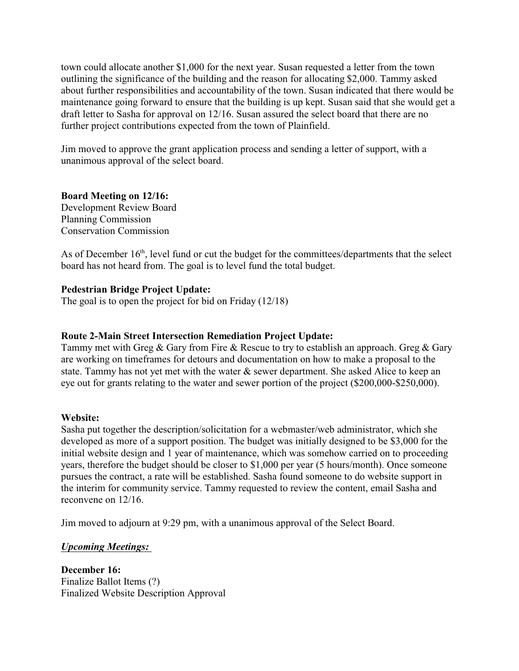town could allocate another \$1,000 for the next year. Susan requested a letter from the town outlining the significance of the building and the reason for allocating \$2,000. Tammy asked about further responsibilities and accountability of the town. Susan indicated that there would be maintenance going forward to ensure that the building is up kept. Susan said that she would get a draft letter to Sasha for approval on 12/16. Susan assured the select board that there are no further project contributions expected from the town of Plainfield.

Jim moved to approve the grant application process and sending a letter of support, with a unanimous approval of the select board.

# **Board Meeting on 12/16:**

Development Review Board Planning Commission Conservation Commission

As of December 16<sup>th</sup>, level fund or cut the budget for the committees/departments that the select board has not heard from. The goal is to level fund the total budget.

# **Pedestrian Bridge Project Update:**

The goal is to open the project for bid on Friday (12/18)

# **Route 2-Main Street Intersection Remediation Project Update:**

Tammy met with Greg & Gary from Fire & Rescue to try to establish an approach. Greg & Gary are working on timeframes for detours and documentation on how to make a proposal to the state. Tammy has not yet met with the water & sewer department. She asked Alice to keep an eye out for grants relating to the water and sewer portion of the project (\$200,000-\$250,000).

### **Website:**

Sasha put together the description/solicitation for a webmaster/web administrator, which she developed as more of a support position. The budget was initially designed to be \$3,000 for the initial website design and 1 year of maintenance, which was somehow carried on to proceeding years, therefore the budget should be closer to \$1,000 per year (5 hours/month). Once someone pursues the contract, a rate will be established. Sasha found someone to do website support in the interim for community service. Tammy requested to review the content, email Sasha and reconvene on 12/16.

Jim moved to adjourn at 9:29 pm, with a unanimous approval of the Select Board.

*Upcoming Meetings:* 

**December 16:** Finalize Ballot Items (?) Finalized Website Description Approval